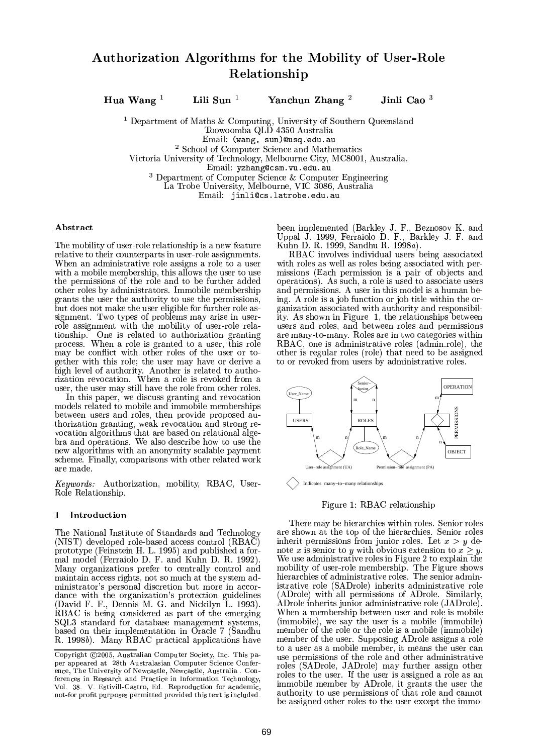# Authorization Algorithms for the Mobility of User-Role Relationship

Hua Wang $^{-1}$ 

Lili Sun $<sup>1</sup>$ </sup>

Yanchun Zhang $^2$ 

Jinli Cao $^3$ 

<sup>1</sup> Department of Maths & Computing, University of Southern Queensland Toowoomba QLD 4350 Australia Email: (wang, sun) @usq.edu.au <sup>2</sup> School of Computer Science and Mathematics Victoria University of Technology, Melbourne City, MC8001, Australia.

Email: yzhang@csm.vu.edu.au

 $3$  Department of Computer Science & Computer Engineering

La Trobe University, Melbourne, VIC 3086, Australia

Email: jinli@cs.latrobe.edu.au

### Abstract

The mobility of user-role relationship is a new feature relative to their counterparts in user-role assignments. When an administrative role assigns a role to a user with a mobile membership, this allows the user to use the permissions of the role and to be further added other roles by administrators. Immobile membership grants the user the authority to use the permissions. but does not make the user eligible for further role assignment. Two types of problems may arise in userrole assignment with the mobility of user-role relationship. One is related to authorization granting process. When a role is granted to a user, this role may be conflict with other roles of the user or together with this role; the user may have or derive a high level of authority. Another is related to authorization revocation. When a role is revoked from a user, the user may still have the role from other roles.

In this paper, we discuss granting and revocation models related to mobile and immobile memberships between users and roles, then provide proposed authorization granting, weak revocation and strong revocation algorithms that are based on relational algebra and operations. We also describe how to use the new algorithms with an anonymity scalable payment scheme. Finally, comparisons with other related work are made.

Keywords: Authorization, mobility, RBAC, User-Role Relationship.

### Introduction  $\mathbf{1}$

The National Institute of Standards and Technology (NIST) developed role-based access control (RBAC) prototype (Feinstein H. L. 1995) and published a formal model (Ferraiolo D. F. and Kuhn D. R. 1992). Many organizations prefer to centrally control and maintain access rights, not so much at the system ad-<br>ministrator's personal discretion but more in accordance with the organization's protection guidelines (David F. F., Dennis M. G. and Nickilyn L. 1993). RBAC is being considered as part of the emerging<br>SQL3 standard for database management systems, based on their implementation in Oracle 7 (Sandhu R. 1998b). Many RBAC practical applications have

been implemented (Barkley J. F., Beznosov K. and Uppal J. 1999, Ferraiolo D. F., Barkley J. F. and Kuhn D. R. 1999, Sandhu R. 1998a).

RBAC involves individual users being associated with roles as well as roles being associated with permissions (Each permission is a pair of objects and operations). As such, a role is used to associate users and permissions. A user in this model is a human being. A role is a job function or job title within the organization associated with authority and responsibility. As shown in Figure 1, the relationships between users and roles, and between roles and permissions are many-to-many. Roles are in two categories within RBAC, one is administrative roles (admin.role), the other is regular roles (role) that need to be assigned to or revoked from users by administrative roles.



Figure 1: RBAC relationship

There may be hierarchies within roles. Senior roles are shown at the top of the hierarchies. Senior roles inherit permissions from junior roles. Let  $x > y$  denote x is senior to y with obvious extension to  $x \geq y$ . We use administrative roles in Figure 2 to explain the mobility of user-role membership. The Figure shows<br>hierarchies of administrative roles. The senior administrative role (SADrole) inherits administrative role (ADrole) with all permissions of ADrole. Similarly, ADrole inherits junior administrative role (JADrole). When a membership between user and role is mobile (immobile), we say the user is a mobile (immobile) member of the role or the role is a mobile (immobile) member of the user. Supposing ADrole assigns a role to a user as a mobile member, it means the user can<br>use permissions of the role and other administrative roles (SADrole, JADrole) may further assign other roles to the user. If the user is assigned a role as an immobile member by ADrole, it grants the user the authority to use permissions of that role and cannot be assigned other roles to the user except the immo-

Copyright ©2005, Australian Computer Society, Inc. This paper appeared at 28th Australasian Computer Science Conference, The University of Newcastle, Newcastle, Australia. Conferences in Research and Practice in Information Technology, Vol. 38. V. Estivill-Castro, Ed. Reproduction for academic, not-for profit purposes permitted provided this text is included.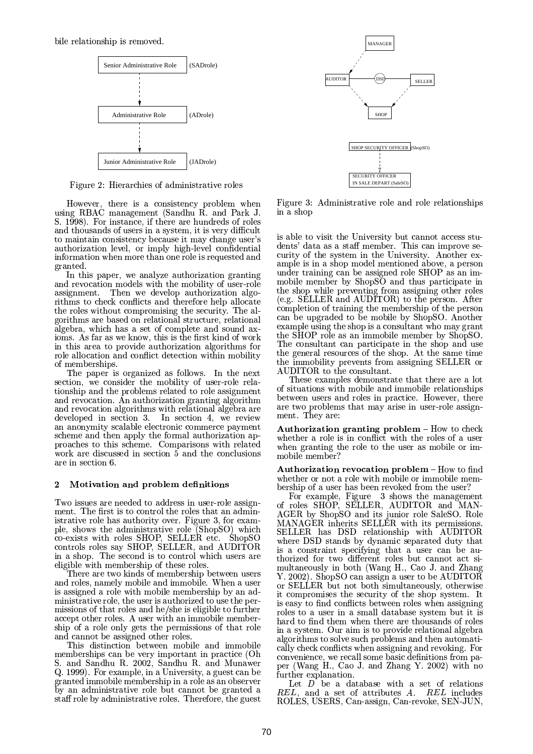

Figure 2: Hierarchies of administrative roles

However, there is a consistency problem when using RBAC management (Sandhu R. and Park J. S. 1998). For instance, if there are hundreds of roles and thousands of users in a system, it is very difficult to maintain consistency because it may change user's authorization level, or imply high-level confidential information when more than one role is requested and granted.

In this paper, we analyze authorization granting and revocation models with the mobility of user-role assignment. Then we develop authorization algorithms to check conflicts and therefore help allocate the roles without compromising the security. The algorithms are based on relational structure, relational algebra, which has a set of complete and sound axioms. As far as we know, this is the first kind of work in this area to provide authorization algorithms for role allocation and conflict detection within mobility of memberships.

The paper is organized as follows. In the next section, we consider the mobility of user-role relationship and the problems related to role assignment and revocation. An authorization granting algorithm and revocation algorithms with relational algebra are developed in section 3. In section 4, we review an anonymity scalable electronic commerce payment scheme and then apply the formal authorization approaches to this scheme. Comparisons with related work are discussed in section 5 and the conclusions are in section 6.

#### Motivation and problem definitions  $\boldsymbol{2}$

Two issues are needed to address in user-role assignment. The first is to control the roles that an administrative role has authority over. Figure 3, for example, shows the administrative role (ShopSO) which co-exists with roles SHOP, SELLER etc. ShopSO<br>controls roles say SHOP, SELLER, and AUDITOR in a shop. The second is to control which users are eligible with membership of these roles.

There are two kinds of membership between users and roles, namely mobile and immobile. When a user is assigned a role with mobile membership by an administrative role, the user is authorized to use the permissions of that roles and he/she is eligible to further accept other roles. A user with an immobile membership of a role only gets the permissions of that role and cannot be assigned other roles.

This distinction between mobile and immobile memberships can be very important in practice (Oh<br>S. and Sandhu R. 2002, Sandhu R. and Munawer Q. 1999). For example, in a University, a guest can be granted immobile membership in a role as an observer by an administrative role but cannot be granted a staff role by administrative roles. Therefore, the guest



Figure 3: Administrative role and role relationships in a shop

is able to visit the University but cannot access students' data as a staff member. This can improve security of the system in the University. Another example is in a shop model mentioned above, a person under training can be assigned role SHOP as an immobile member by ShopSO and thus participate in the shop while preventing from assigning other roles (e.g. SELLER and AUDITOR) to the person. After completion of training the membership of the person can be upgraded to be mobile by ShopSO. Another example using the shop is a consultant who may grant the SHOP role as an immobile member by ShopSO. The consultant can participate in the shop and use the general resources of the shop. At the same time the immobility prevents from assigning SELLER or AUDITOR to the consultant.

These examples demonstrate that there are a lot of situations with mobile and immobile relationships between users and roles in practice. However, there are two problems that may arise in user-role assignment. They are:

Authorization granting problem - How to check whether a role is in conflict with the roles of a user when granting the role to the user as mobile or immobile member?

Authorization revocation problem - How to find whether or not a role with mobile or immobile membership of a user has been revoked from the user?

For example, Figure 3 shows the management<br>of roles SHOP, SELLER, AUDITOR and MAN-AGER by ShopSO and its junior role SaleSO. Role MANAGER inherits SELLER with its permissions. SELLER has DSD relationship with AUDITOR where DSD stands by dynamic separated duty that is a constraint specifying that a user can be authorized for two different roles but cannot act simultaneously in both (Wang H., Cao J. and Zhang Y. 2002). ShopSO can assign a user to be AUDITOR or SELLER but not both simultaneously, otherwise it compromises the security of the shop system. It is easy to find conflicts between roles when assigning roles to a user in a small database system but it is hard to find them when there are thousands of roles in a system. Our aim is to provide relational algebra algorithms to solve such problems and then automatically check conflicts when assigning and revoking. For convenience, we recall some basic definitions from paper (Wang H., Cao J. and Zhang Y. 2002) with no further explanation.

Let  $D$  be a database with a set of relations  $REL$ , and a set of attributes  $A$ .  $REL$  includes ROLES, USERS, Can-assign, Can-revoke, SEN-JUN,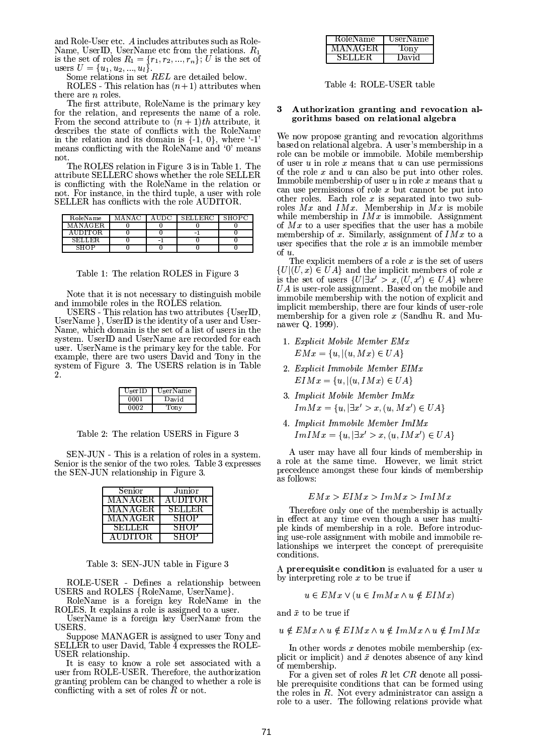and Role-User etc. A includes attributes such as Role-Name, UserID, UserName etc from the relations.  $R_1$ is the set of roles  $R_1 = \{r_1, r_2, ..., r_n\}$ ; U is the set of users  $U = \{u_1, u_2, ..., u_l\}.$ 

Some relations in set REL are detailed below.

ROLES - This relation has  $(n+1)$  attributes when there are  $n$  roles.

The first attribute, RoleName is the primary key for the relation, and represents the name of a role. From the second attribute to  $(n + 1)$ th attribute, it describes the state of conflicts with the RoleName<br>in the relation and its domain is  $\{-1, 0\}$ , where  $-1$ means conflicting with the RoleName and '0' means not.

The ROLES relation in Figure 3 is in Table 1. The attribute SELLERC shows whether the role SELLER is conflicting with the RoleName in the relation or not. For instance, in the third tuple, a user with role SELLER has conflicts with the role AUDITOR.

| RoleName       | MANAC | AUDC | <b>SELLERC</b> | <b>SHOPC</b> |
|----------------|-------|------|----------------|--------------|
| M A N A GER.   |       |      |                |              |
| <b>AUDITOR</b> |       |      | $\equiv$       |              |
| <b>SELLER</b>  |       | -    |                |              |
| SHOP           |       |      |                |              |

Table 1: The relation ROLES in Figure 3

Note that it is not necessary to distinguish mobile and immobile roles in the ROLES relation.

USERS - This relation has two attributes {UserID, UserName }, UserID is the identity of a user and User-Name, which domain is the set of a list of users in the system. UserID and UserName are recorded for each user. UserName is the primary key for the table. For example, there are two users David and Tony in the system of Figure 3. The USERS relation is in Table

| UserID | UserName |
|--------|----------|
| 0001   | David    |
| 0002   | Tony     |

Table 2: The relation USERS in Figure 3

SEN-JUN - This is a relation of roles in a system. Senior is the senior of the two roles. Table 3 expresses the SEN-JUN relationship in Figure 3.

| Senior        | Junior         |
|---------------|----------------|
| MANAGER       | <b>AUDITOR</b> |
| MANAGER       | SELLER         |
| MANAGER       | SHOP           |
| <b>SELLER</b> | SHOP           |
| AUDITOR.      | SHOP           |

Table 3: SEN-JUN table in Figure 3

ROLE-USER - Defines a relationship between USERS and ROLES {RoleName, UserName}.

RoleName is a foreign key RoleName in the ROLES. It explains a role is assigned to a user.

UserName is a foreign key UserName from the USERS.

Suppose MANAGER is assigned to user Tony and SELLER to user David, Table  $\overline{4}$  expresses the ROLE-USER relationship.

It is easy to know a role set associated with a<br>user from ROLE-USER. Therefore, the authorization granting problem can be changed to whether a role is conflicting with a set of roles  $R$  or not.

| RoleName | UserName |
|----------|----------|
| MANAGER  | Tony     |
| SELLER.  | David    |

Table 4: ROLE-USER table

### Authorization granting and revocation al-3 gorithms based on relational algebra

We now propose granting and revocation algorithms based on relational algebra. A user's membership in a role can be mobile or immobile. Mobile membership of user  $u$  in role  $x$  means that  $u$  can use permissions of the role  $x$  and  $u$  can also be put into other roles. Immobile membership of user  $u$  in role  $x$  means that  $u$ can use permissions of role  $x$  but cannot be put into other roles. Each role  $x$  is separated into two subroles  $Mx$  and  $IMx$ . Membership in  $Mx$  is mobile while membership in  $IMx$  is immobile. Assignment of  $Mx$  to a user specifies that the user has a mobile membership of x. Similarly, assignment of  $IMx$  to a user specifies that the role  $x$  is an immobile member of  $u$ .

The explicit members of a role  $x$  is the set of users  $\{U|(U,x)\in UA\}$  and the implicit members of role x is the set of users  $\{U|\exists x' > x, (U, x') \in UA\}$  where  $UA$  is user-role assignment. Based on the mobile and immobile membership with the notion of explicit and implicit membership, there are four kinds of user-role<br>membership for a given role  $x$  (Sandhu R. and Munawer Q. 1999).

- 1. Explicit Mobile Member EMx  $EMx = {u, |(u, Mx) \in UA}$
- 2. Explicit Immobile Member EIMx  $EIMx = \{u, |(u, IMx) \in UA\}$
- 3. Implicit Mobile Member ImMx  $Im Mx = \{u, |\exists x' > x, (u, Mx') \in UA\}$
- 4. Implicit Immobile Member ImIMx  $ImIMx = {u, |\exists x' > x, (u, IMx') \in UA}$

A user may have all four kinds of membership in a role at the same time. However, we limit strict precedence amongst these four kinds of membership as follows:

$$
EMx > EIMx > ImMx > ImIMx
$$

Therefore only one of the membership is actually in effect at any time even though a user has multiple kinds of membership in a role. Before introducing use-role assignment with mobile and immobile relationships we interpret the concept of prerequisite conditions.

A prerequisite condition is evaluated for a user  $u$ by interpreting role  $x$  to be true if

 $u \in EMx \vee (u \in Im Mx \wedge u \notin EIMx)$ 

and  $\bar{x}$  to be true if

 $u \notin EMx \wedge u \notin EIMx \wedge u \notin ImMx \wedge u \notin ImIMx$ 

In other words  $x$  denotes mobile membership (explicit or implicit) and  $\bar{x}$  denotes absence of any kind of membership.

For a given set of roles  $R$  let  $CR$  denote all possible prerequisite conditions that can be formed using the roles in  $R$ . Not every administrator can assign a role to a user. The following relations provide what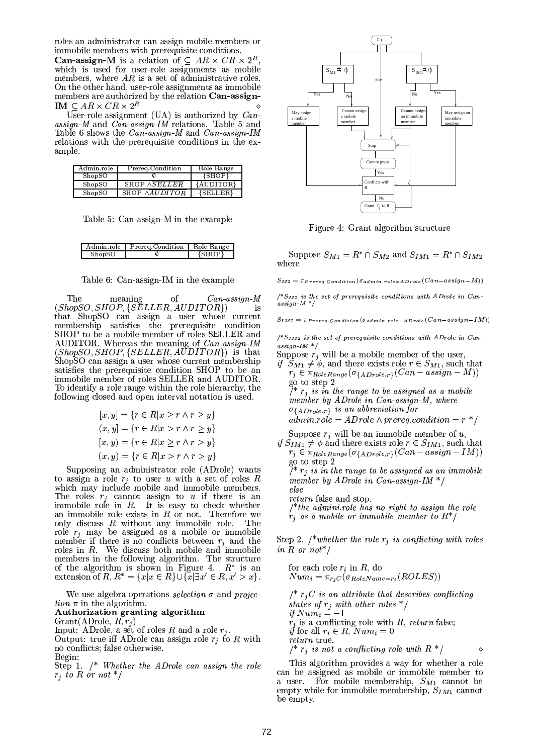roles an administrator can assign mobile members or immobile members with prerequisite conditions.

**Can-assign-M** is a relation of  $\subseteq AR \times CR \times 2^R$ which is used for user-role assignments as mobile<br>members, where AR is a set of administrative roles. On the other hand, user-role assignments as immobile members are authorized by the relation Can-assign-IM  $\subseteq AR \times CR \times 2^R$ 

User-role assignment (UA) is authorized by  $Can$  $assign-M$  and  $Can-assign-IM$  relations. Table 5 and Table 6 shows the Can-assign-M and Can-assign-IM relations with the prerequisite conditions in the example.

| Admin.role | Prereq.Condition     | Role Range |
|------------|----------------------|------------|
| ShopSO     |                      | {SHOP}     |
| ShopSO     | SHOP ASELLER         | {AUDITOR}  |
| ShopSO     | SHOP $\land$ AUDITOR | {SELLER}   |

Table 5: Can-assign-M in the example

| A dmin.role | Prereg Condition | Bole Range |
|-------------|------------------|------------|
| ShopSO      |                  | ${SHOP}$   |

of  $Can-assign-M$ The meaning  $(ShopSO, SHOP, {SELLER, AUDITOR})$ is that ShopSO can assign a user whose current<br>membership satisfies the prerequisite condition SHOP to be a mobile member of roles SELLER and AUDITOR. Whereas the meaning of Can-assign-IM  $(ShopSO, SHOP, {SELLER, AUDITOR})$  is that ShopSO can assign a user whose current membership satisfies the prerequisite condition SHOP to be an immobile member of roles SELLER and AUDITOR. To identify a role range within the role hierarchy, the following closed and open interval notation is used.

$$
[x, y] = \{r \in R | x \ge r \land r \ge y\}
$$
  

$$
(x, y] = \{r \in R | x > r \land r \ge y\}
$$
  

$$
[x, y) = \{r \in R | x \ge r \land r > y\}
$$
  

$$
(x, y) = \{r \in R | x > r \land r > y\}
$$

Supposing an administrator role (ADrole) wants to assign a role  $r_i$  to user u with a set of roles R which may include mobile and immobile members. The roles  $r_j$  cannot assign to u if there is an immobile role in  $R$ . It is easy to check whether an immobile role exists in  $R$  or not. Therefore we only discuss  $R$  without any immobile role. The role  $r_j$  may be assigned as a mobile or immobile<br>member if there is no conflicts between  $r_j$  and the roles in  $R$ . We discuss both mobile and immobile members in the following algorithm. The structure of the algorithm is shown in Figure 4.  $R^*$  is an extension of  $R$ ,  $R^* = \{x | x \in R\} \cup \{x | \exists x' \in R, x' > x\}.$ 

We use algebra operations selection  $\sigma$  and projec*tion*  $\pi$  in the algorithm.

# Authorization granting algorithm

Grant(ADrole,  $R, r_j$ )<br>Input: ADrole, a set of roles R and a role  $r_j$ . Output: true iff ADrole can assign role  $r_j$  to R with

no conflicts; false otherwise. Begin:

Step 1.  $/*$  Whether the ADrole can assign the role  $r_i$  to R or not \*/



Figure 4: Grant algorithm structure

Suppose  $S_{M1} = R^* \cap S_{M2}$  and  $S_{IM1} = R^* \cap S_{IM2}$ where

 $S_{M2} = \pi_{Prereg. Condition} (\sigma_{admin,role = ADrole}(Can - assign - M))$ 

 $/^{*}S_{M2}$  is the set of prerequisite conditions with ADrole in Can $assign - M^* /$ 

$$
S_{IM2} = \pi_{Prereq. Condition} (\sigma_{admin.role = ADrole} (Can - assign - IM))
$$

 $/ * S_{IM2}$  is the set of prerequisite conditions with ADrole in Can $assign{\text -}IM \ \ast/$ 

- Suppose  $r_j$  will be a mobile member of the user.
- if  $S_{M1} \neq \emptyset$ , and there exists role  $r \in S_{M1}$ , such that  $r_j \in \pi_{RoleRange}(\sigma_{\{ADrole,r\}}(Can - assign - M))$ go to step 2<br> $\begin{array}{c} \n\gamma^* r_i$  is in the range to be assigned as a mobile member by ADrole in Can-assign-M, where  $\sigma_{\{ADrole,r\}}$  is an abbreviation for  $\alpha$ dmin.role = ADrole  $\land$  prereq.condition = r<sup>\*</sup>/
- Suppose  $r_i$  will be an immobile member of  $u_i$ , if  $S_{IM1}$   $\neq$   $\phi$  and there exists role  $r \in S_{IM1}$ , such that  $r_j \in \pi_{RoleRange}(\sigma_{\{ADrole,r\}}(Can - assign - IM))$

go to step 2<br> $\frac{1}{r}$  is in the range to be assigned as an immobile member by ADrole in Can-assign-IM  $*/$ else return false and stop.

 $/*$ the admini.role has no right to assign the role  $r_i$  as a mobile or immobile member to  $R^*/R$ 

Step 2. /\*whether the role  $r_i$  is conflicting with roles in R or not<sup>\*</sup>/

for each role 
$$
r_i
$$
 in  $R$ , do  $Num_i = \pi_{r_jC}(\sigma_{RoleName=r_i}(ROLES))$ \n $/*$   $r_jC$  is an attribute that describes conflicting states of  $r_j$  with other roles  $*/$  if  $Num_i = -1$   $r_j$  is a conflicting role with  $R$ , return false; if for all  $r_i \in R$ ,  $Num_i = 0$  return true.  $/*$   $r_j$  is not a conflicting role with  $R^*/$ 

This algorithm provides a way for whether a role can be assigned as mobile or immobile member to a user. For mobile membership,  $S_{M1}$  cannot be empty while for immobile membership,  $S_{IM1}$  cannot be empty.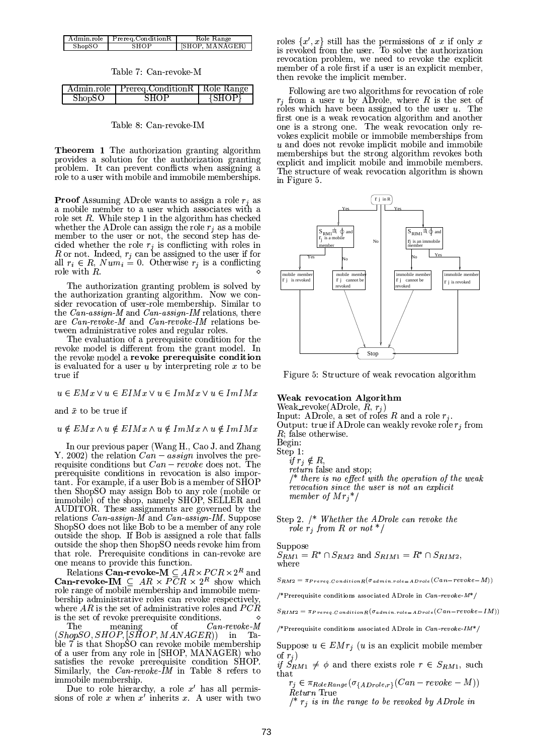|        | Admin.role Prereg.ConditionR | Role Range      |
|--------|------------------------------|-----------------|
| ShopSO | SHOP                         | [SHOP, MANAGER] |

Table 7: Can-revoke-M

|        | Admin.role   Prereq.ConditionR   Role Range |            |
|--------|---------------------------------------------|------------|
| ShopSO | <b>SHOP</b>                                 | $\{SHOP\}$ |

## Table 8: Can-revoke-IM

**Theorem 1** The authorization granting algorithm provides a solution for the authorization granting problem. It can prevent conflicts when assigning a role to a user with mobile and immobile memberships.

**Proof** Assuming ADrole wants to assign a role  $r_i$  as a mobile member to a user which associates with a role set  $R$ . While step 1 in the algorithm has checked whether the ADrole can assign the role  $r_j$  as a mobile member to the user or not, the second step has decided whether the role  $r_j$  is conflicting with roles in *R* or not. Indeed,  $r_j$  can be assigned to the user if for all  $r_i \in R_j$  *Num<sub>i</sub>* = 0. Otherwise  $r_j$  is a conflicting role with  $R$ .

The authorization granting problem is solved by the authorization granting algorithm. Now we consider revocation of user-role membership. Similar to the *Can-assign-M* and *Can-assign-IM* relations, there are *Can-revoke-M* and *Can-revoke-IM* relations between administrative roles and regular roles.

The evaluation of a prerequisite condition for the revoke model is different from the grant model. In the revoke model a revoke prerequisite condition is evaluated for a user  $u$  by interpreting role  $x$  to be true if

 $u \in EMx \vee u \in EIMx \vee u \in Im Mx \vee u \in ImIMx$ 

and  $\bar{x}$  to be true if

# $u \notin E M x \wedge u \notin E I M x \wedge u \notin Im M x \wedge u \notin Im I M x$

In our previous paper (Wang H., Cao J. and Zhang Y. 2002) the relation  $\widehat{Can} - \widehat{assign}$  involves the prerequisite conditions but  $Can - revoke$  does not. The prerequisite conditions in revocation is also important. For example, if a user Bob is a member of SHOP then ShopSO may assign Bob to any role (mobile or immobile) of the shop, namely SHOP, SELLER and AUDITOR. These assignments are governed by the relations Can-assign-M and Can-assign-IM. Suppose ShopSO does not like Bob to be a member of any role outside the shop. If Bob is assigned a role that falls outside the shop then ShopSO needs revoke him from that role. Prerequisite conditions in can-revoke are one means to provide this function.

Relations Can-revoke-M  $\subseteq$   $AR \times PCR \times 2^R$  and<br>Can-revoke-IM  $\subseteq$   $AR \times PCR \times 2^R$  show which role range of mobile membership and immobile membership administrative roles can revoke respectively, where  $AR$  is the set of administrative roles and  $PCR$ is the set of revoke prerequisite conditions.<br>The meaning of  $\mathcal{C}an$ 

 $Can$ - $reve$ ke- $M$  $(ShopSO, SHOP, [SHOP, MANAGER])$  $in$  $Ta$ ble 7 is that ShopSO can revoke mobile membership of a user from any role in [SHOP, MANAGER) who satisfies the revoke prerequisite condition SHOP. Similarly, the  $Can$ -revoke-IM in Table 8 refers to immobile membership.

Due to role hierarchy, a role  $x'$  has all permissions of role  $x$  when  $x'$  inherits  $x$ . A user with two

roles  $\{x', x\}$  still has the permissions of x if only x<br>is revoked from the user. To solve the authorization revocation problem, we need to revoke the explicit member of a role first if a user is an explicit member, then revoke the implicit member.

Following are two algorithms for revocation of role  $r_i$  from a user u by ADrole, where R is the set of roles which have been assigned to the user  $u$ . The first one is a weak revocation algorithm and another one is a strong one. The weak revocation only revokes explicit mobile or immobile memberships from  $u$  and does not revoke implicit mobile and immobile memberships but the strong algorithm revokes both explicit and implicit mobile and immobile members. The structure of weak revocation algorithm is shown in Figure 5.



Figure 5: Structure of weak revocation algorithm

### **Weak revocation Algorithm**

Weak\_revoke(ADrole,  $R$ ,  $r_j$ ) Input: ADrole, a set of roles R and a role  $r_i$ . Output: true if ADrole can weakly revoke role  $r_i$  from  $R$ ; false otherwise. Begin: Step 1:<br>if  $r_j \notin R$ ,

*return* false and stop;

 $/*$  there is no effect with the operation of the weak revocation since the user is not an explicit member of  $Mr_i^*/$ 

Step 2.  $/*$  Whether the ADrole can revoke the role  $r_i$  from R or not \*/

### Suppose  $S_{RM1} = R^* \cap S_{RM2}$  and  $S_{RIM1} = R^* \cap S_{RIM2}$ , where

 $S_{RM2} = \pi_{Prereq. \, Condition \, R}(\sigma_{admin. \, role \in ADrole}(Can-revoke-M))$ 

/\*Prerequisite conditions associated ADrole in  $Can$ -revoke- $M^*/$ 

 $S_{RIM2} = \pi_{Prereq.\,Con\,dition\,R}\left(\sigma_{a\,dmin.\,role\equiv AD\,role}(Can-revoke-IM)\right)$ 

/\*Prerequisite conditions associated ADrole in  $Can$ -revoke-IM\*/

Suppose  $u \in EMr_i$  (*u* is an explicit mobile member

of  $r_j$ )<br>if  $S_{RM1} \neq \phi$  and there exists role  $r \in S_{RM1}$ , such

 $r_j \in \pi_{RoleRange}(\sigma_{\{ADrole,r\}}(Can-revoke-M))$ Return True

/\*  $r_j$  is in the range to be revoked by ADrole in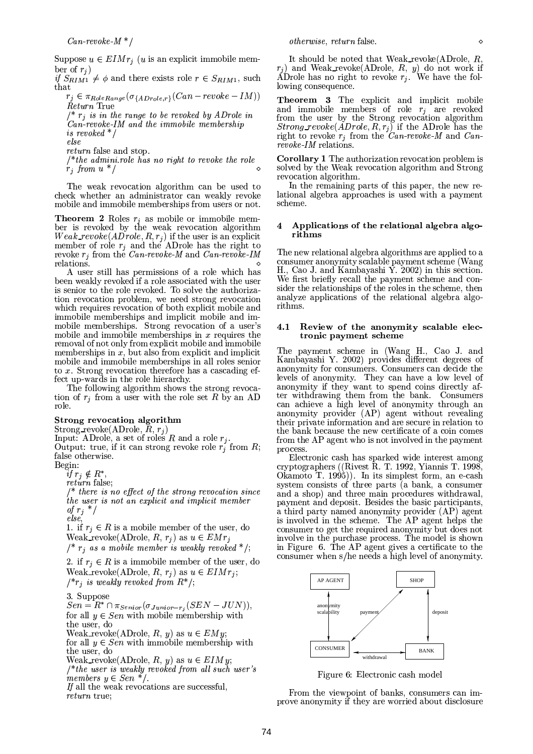Suppose  $u \in EIMr_i$  (*u* is an explicit immobile member of  $r_i$ )

if  $S_{RIM1} \neq \phi$  and there exists role  $r \in S_{RIM1}$ , such that

 $r_j \in \pi_{RoleRange}(\sigma_{\{ADrole,r\}}(Can-revoke-IM))$ Return True /\*  $r_i$  is in the range to be revoked by ADrole in

 $Can$ -revoke-IM and the immobile membership is revoked  $*$  /

else

return false and stop.

 $/*$  the admini.role has no right to revoke the role  $r_j$  from  $u^*/$ 

The weak revocation algorithm can be used to check whether an administrator can weakly revoke mobile and immobile memberships from users or not.

**Theorem 2** Roles  $r_i$  as mobile or immobile member is revoked by the weak revocation algorithm Weak revoke  $(ADrole, R, r_j)$  if the user is an explicit<br>member of role  $r_j$  and the ADrole has the right to<br>revoke  $r_j$  from the Can-revoke-M and Can-revoke-IM relations.

A user still has permissions of a role which has been weakly revoked if a role associated with the user is senior to the role revoked. To solve the authorization revocation problem, we need strong revocation which requires revocation of both explicit mobile and immobile memberships and implicit mobile and immobile memberships. Strong revocation of a user's mobile and immobile memberships in  $x$  requires the removal of not only from explicit mobile and immobile memberships in  $x$ , but also from explicit and implicit mobile and immobile memberships in all roles senior<br>to  $x$ . Strong revocation therefore has a cascading effect up-wards in the role hierarchy.

The following algorithm shows the strong revocation of  $r_j$  from a user with the role set R by an AD role.

# Strong revocation algorithm

Strong\_revoke(ADrole,  $\bar{R}$ ,  $r_j$ )

Input: ADrole, a set of roles R and a role  $r_j$ .<br>Output: true, if it can strong revoke role  $r_j$  from R; false otherwise.

Begin:

if  $r_j \notin R^*$ 

*return* false:

 $\frac{1}{\ast}$  there is no effect of the strong revocation since the user is not an explicit and implicit member of  $r_j$  \*/ else,

1. if  $r_i \in R$  is a mobile member of the user, do Weak\_revoke(ADrole,  $R, r_j$ ) as  $u \in EMr_j$  $\frac{1}{2}$   $r_i$  as a mobile member is weakly revoked \*/;

2. if  $r_i \in R$  is a immobile member of the user, do Weak\_revoke(ADrole, R,  $r_i$ ) as  $u \in EIMr_i$ ;  $\frac{1}{r}$  is weakly revoked from  $R^*$ ;

3. Suppose

 $Sen = R^* \cap \pi_{Senior}(\sigma_{Junior=r_i}(SEN-JUN)),$ for all  $y \in Sen$  with mobile membership with the user, do Weak\_revoke(ADrole, R, y) as  $u \in EMy$ ;

for all  $y \in Sen$  with immobile membership with the user, do

Weak\_revoke(ADrole, R, y) as  $u \in EIMy$ ; /\*the user is weakly revoked from all such user's<br>members  $y \in Sen$  \*/.

If all the weak revocations are successful, return true;

It should be noted that Weak\_revoke(ADrole,  $R$ ,  $r_j$ ) and Weak\_revoke(ADrole, R, y) do not work if ADrole has no right to revoke  $r_j$ . We have the following consequence.

**Theorem 3** The explicit and implicit mobile<br>and immobile members of role  $r_j$  are revoked from the user by the Strong revocation algorithm *Strong\_revoke*( $ADrole, R, r_j$ ) if the ADrole has the right to revoke  $r_j$  from the Can-revoke-M and Canrevoke-IM relations.

**Corollary 1** The authorization revocation problem is solved by the Weak revocation algorithm and Strong revocation algorithm.

In the remaining parts of this paper, the new relational algebra approaches is used with a payment scheme.

### Applications of the relational algebra algo-4 rithms

The new relational algebra algorithms are applied to a consumer anonymity scalable payment scheme (Wang H., Cao J. and Kambayashi Y. 2002) in this section. We first briefly recall the payment scheme and consider the relationships of the roles in the scheme, then analyze applications of the relational algebra algorithms.

# 4.1 Review of the anonymity scalable electronic payment scheme

The payment scheme in (Wang H., Cao J. and Kambayashi Y. 2002) provides different degrees of anonymity for consumers. Consumers can decide the levels of anonymity. They can have a low level of anonymity if they want to spend coins directly after withdrawing them from the bank. Consumers can achieve a high level of anonymity through an anonymity provider (AP) agent without revealing their private information and are secure in relation to the bank because the new certificate of a coin comes from the AP agent who is not involved in the payment process.

Electronic cash has sparked wide interest among cryptographers ((Rivest R. T. 1992, Yiannis T. 1998, Okamoto T. 1995)). In its simplest form, an e-cash system consists of three parts (a bank, a consumer and a shop) and three main procedures withdrawal, payment and deposit. Besides the basic participants, a third party named anonymity provider (AP) agent is involved in the scheme. The AP agent helps the consumer to get the required anonymity but does not involve in the purchase process. The model is shown<br>in Figure 6. The AP agent gives a certificate to the consumer when s/he needs a high level of anonymity.



Figure 6: Electronic cash model

From the viewpoint of banks, consumers can improve anonymity if they are worried about disclosure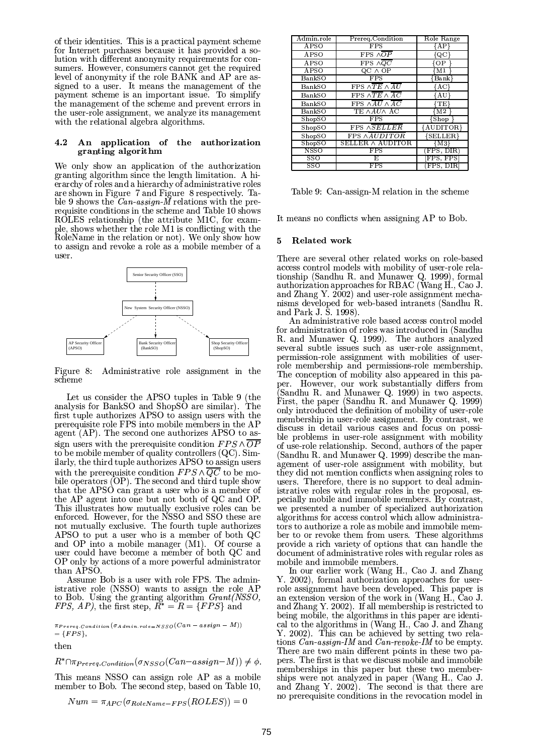of their identities. This is a practical payment scheme for Internet purchases because it has provided a solution with different anonymity requirements for consumers. However, consumers cannot get the required level of anonymity if the role BANK and AP are assigned to a user. It means the management of the payment scheme is an important issue. To simplify the management of the scheme and prevent errors in the user-role assignment, we analyze its management with the relational algebra algorithms.

### 4.2 An application of the authorization granting algorithm

We only show an application of the authorization granting algorithm since the length limitation. A hierarchy of roles and a hierarchy of administrative roles are shown in Figure 7 and Figure 8 respectively. Table 9 shows the  $Can\text{-}assign\text{-}M$  relations with the prerequisite conditions in the scheme and Table 10 shows ROLES relationship (the attribute M1C, for example, shows whether the role M1 is conflicting with the RoleName in the relation or not). We only show how to assign and revoke a role as a mobile member of a user.



Figure 8: Administrative role assignment in the scheme

Let us consider the APSO tuples in Table 9 (the analysis for BankSO and ShopSO are similar). The first tuple authorizes APSO to assign users with the prerequisite role FPS into mobile members in the AP agent (AP). The second one authorizes APSO to assign users with the prerequisite condition  $FPS \wedge \overline{OP}$ to be mobile member of quality controllers  $(QC)$ . Similarly, the third tuple authorizes APSO to assign users with the prerequisite condition  $FPS \wedge \overline{QC}$  to be mobile operators (OP). The second and third tuple show that the APSO can grant a user who is a member of the AP agent into one but not both of QC and OP. This illustrates how mutually exclusive roles can be enforced. However, for the NSSO and SSO these are not mutually exclusive. The fourth tuple authorizes APSO to put a user who is a member of both QC and OP into a mobile manager (M1). Of course a user could have become a member of both QC and OP only by actions of a more powerful administrator than APSO

Assume Bob is a user with role FPS. The administrative role (NSSO) wants to assign the role AP to Bob. Using the granting algorithm *Grant(NSSO, FPS, AP)*, the first step,  $R^* = R = \{FPS\}$  and

 $\pi_{Prereq.\,Con\,dition}\left(\sigma_{Admin.\,role=NSSO}(Can-\scriptsize{assign}-M)\right)$  $=$  {*FPS*}, then

 $R^* \cap \pi_{Prereq. Condition}(\sigma_{NSSO}(Can-assign-M)) \neq \phi.$ 

This means NSSO can assign role AP as a mobile member to Bob. The second step, based on Table 10,

$$
Num = \pi_{APC}(\sigma_{RoleName=FPS}(ROLES)) = 0
$$

| Admin.role  | Prereg.Condition                                | Role Range                 |
|-------------|-------------------------------------------------|----------------------------|
| APSO        | $_{\rm FPS}$                                    | {AP}                       |
| APSO        | FPS $\wedge \overline{OP}$                      | $\{QC\}$                   |
| APSO        | FPS $\wedge \overline{QC}$                      | {OP                        |
| <b>APSO</b> | $QC$ $\wedge$ $OP$                              | {M1                        |
| BankSO      | $_{\rm FPS}$                                    | $\overline{\text{Bank}}\}$ |
| BankSO      | FPS $\wedge TE \wedge AU$                       | {AC}                       |
| BankSO      | FPS $\wedge \overline{TE} \wedge \overline{AC}$ | {AU}                       |
| BankSO      | FPS $\wedge$ AU $\wedge$ AC                     | 'TE}                       |
| BankSO      | TE AAUA AC                                      | {M2                        |
| ShopSO      | <b>FPS</b>                                      | Shop                       |
| ShopSO      | FPS ASELLER                                     | {AUDITOR}                  |
| ShopSO      | FPS AAUDITOR                                    | ${SELLER}$                 |
| ShowSO      | SELLER A AUDITOR                                | {M3}                       |
| NSSO        | $_{\rm FPS}$                                    | FPS, DIR)                  |
| SSO         | E                                               | FPS, FPS                   |
| SSO         | FPS                                             | (FPS. DIR                  |

Table 9: Can-assign-M relation in the scheme

It means no conflicts when assigning AP to Bob.

#### 5 **Related work**

There are several other related works on role-based access control models with mobility of user-role relationship (Sandhu R. and Munawer Q. 1999), formal authorization approaches for RBAC (Wang H., Cao J. and Zhang Y. 2002) and user-role assignment mechanisms developed for web-based intranets (Sandhu R. and Park J. S. 1998).

An administrative role based access control model for administration of roles was introduced in (Sandhu R. and Munawer Q. 1999). The authors analyzed several subtle issues such as user-role assignment, permission-role assignment with mobilities of userrole membership and permissions-role membership. The conception of mobility also appeared in this paper. However, our work substantially differs from (Sandhu R. and Munawer Q. 1999) in two aspects. First, the paper (Sandhu R. and Munawer Q. 1999) only introduced the definition of mobility of user-role membership in user-role assignment. By contrast, we discuss in detail various cases and focus on possible problems in user-role assignment with mobility of use-role relationship. Second, authors of the paper (Sandhu R. and Munawer Q. 1999) describe the management of user-role assignment with mobility, but they did not mention conflicts when assigning roles to users. Therefore, there is no support to deal administrative roles with regular roles in the proposal, especially mobile and immobile members. By contrast, we presented a number of specialized authorization algorithms for access control which allow administrators to authorize a role as mobile and immobile member to or revoke them from users. These algorithms provide a rich variety of options that can handle the document of administrative roles with regular roles as mobile and immobile members.

In our earlier work (Wang H., Cao J. and Zhang Y. 2002), formal authorization approaches for userrole assignment have been developed. This paper is an extension version of the work in (Wang H., Cao J. and Zhang Y. 2002). If all membership is restricted to being mobile, the algorithms in this paper are identical to the algorithms in (Wang H., Cao J. and Zhang Y. 2002). This can be achieved by setting two relations  $C\acute{a}n$ -assign-IM and  $Can$ -revoke-IM to be empty. There are two main different points in these two papers. The first is that we discuss mobile and immobile memberships in this paper but these two memberships were not analyzed in paper (Wang H., Cao J.<br>and Zhang Y. 2002). The second is that there are no prerequisite conditions in the revocation model in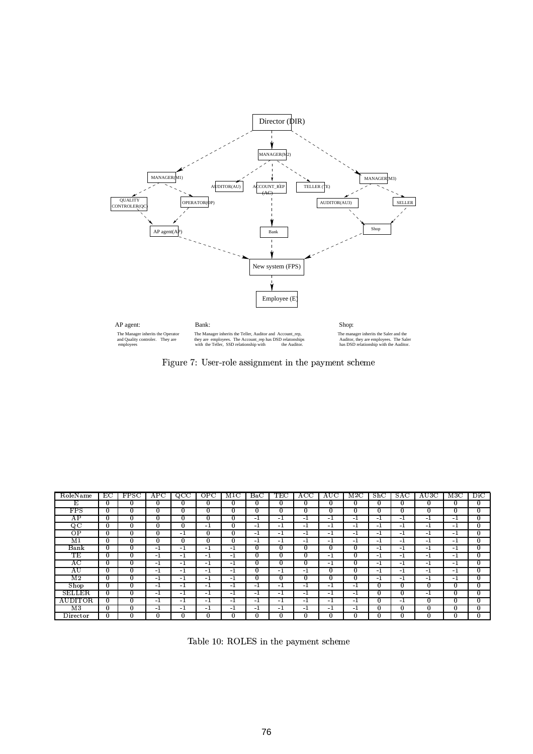

The Manager inherits the Operator<br>and Quality controler. They are<br>employees

The Manager inherits the Teller, Auditor and Account\_re<br>they are employees. The Account\_rep has DSD relatons<br>with the Teller, SSD relationship with the Audi int\_rep The manager inherits the Saler and the<br>Auditor, they are employees. The Saler<br>has DSD relationship with the Auditor.



| RoleName                 | EC           | FPSC         | $_{\rm APC}$ | $_{\rm QCC}$ | OPC          | M1C          | $_{\rm Bac}$ | TEC  | ACC          | AUC      | $_{\rm M2C}$ | ShC          | SAC              | AU3C     | M3C          | $_{\rm {Dic}}$ |
|--------------------------|--------------|--------------|--------------|--------------|--------------|--------------|--------------|------|--------------|----------|--------------|--------------|------------------|----------|--------------|----------------|
| E.                       | $\bf{0}$     | $\mathbf{0}$ | 0            | $\mathbf{0}$ | $\mathbf{0}$ | $\Omega$     | 0            | 0    | $\mathbf{0}$ | $\bf{0}$ | 0            | $\Omega$     | $\Omega$         | 0        | $\bf{0}$     | $\mathbf{0}$   |
| ${\rm FPS}$              | $\mathbf{0}$ | $\bf{0}$     | 0            | $\bf{0}$     | $\bf{0}$     | 0            | 0            | 0    | $\bf{0}$     | 0        | $\bf{0}$     | $\bf{0}$     | $\Omega$         | $\bf{0}$ | $\bf{0}$     | $\mathbf{0}$   |
| AΡ                       | $\bf{0}$     | $\mathbf{0}$ | 0            | $\bf{0}$     | $\bf{0}$     | 0            | - 1          | - 1  | - 1          | $^{-1}$  | $-1$         | - 1          | -1               | $-1$     | $-1$         | $\bf{0}$       |
| QC                       | $\bf{0}$     | $\mathbf{0}$ | 0            | $\bf{0}$     | $-1$         | $\Omega$     | $-1$         | $-1$ | $-1$         | $-1$     | $-1$         | $-1$         | $-1$             | $-1$     | $-1$         | $\mathbf{0}$   |
| ΟP                       | $\bf{0}$     | $\mathbf{0}$ | 0            | -1           | $\mathbf{0}$ | $\mathbf{0}$ | $-1$         | $-1$ | $-1$         | $^{-1}$  | $-1$         | -1           | $-1$             | $-1$     | $-1$         | $\mathbf{0}$   |
| M <sub>1</sub>           | $\Omega$     | $\mathbf{0}$ | 0            | $\bf{0}$     | $\bf{0}$     | $\mathbf{0}$ | $-1$         | $-1$ | -1           | $-1$     | $^{-1}$      | -1           | -1               | $-1$     | $-1$         | $\mathbf{0}$   |
| Bank                     | $\Omega$     | 0            | -1           | -1           | $-1$         | $-1$         | 0            | 0    | $\bf{0}$     | $\Omega$ | 0            | -1           | $-1$             | $-1$     | $-1$         | $\bf{0}$       |
| TЕ                       | $\bf{0}$     | $\mathbf{0}$ | -1           | -1           | -1           | - 1          | 0            | 0    | $\mathbf{0}$ | $-1$     | $\bf{0}$     | -1           | $-1$             | $-1$     | $-1$         | $\mathbf{0}$   |
| $_{\rm AC}$              | $\bf{0}$     | $\mathbf{0}$ | - 1          | $-1$         | $^{-1}$      | $-1$         | $\Omega$     | 0    | $\bf{0}$     | $-1$     | $\Omega$     | $-1$         | -1               | $-1$     | $-1$         | $\bf{0}$       |
| ΑU                       | $\Omega$     | $\mathbf{0}$ | -1           | -1           | -1           | - 1          | 0            | -1   | -1           | $\Omega$ | $\bf{0}$     | -1           | $-1$             | -1       | $-1$         | $\mathbf{0}$   |
| $\overline{\mathrm{M2}}$ | 0            | $\bf{0}$     | $-1$         | $-1$         | -1           | -1           | 0            | 0    | 0            | $\Omega$ | $\Omega$     | -1           | $-1$             | $-1$     | $-1$         | $\mathbf{0}$   |
| Shop                     | $\bf{0}$     | $\mathbf{0}$ | - 1          | $-1$         | -1           | - 1          | $-1$         | $-1$ | -1           | $^{-1}$  | $^{-1}$      | $\mathbf{0}$ | $\Omega$         | 0        | $\mathbf{0}$ | $\mathbf{0}$   |
| <b>SELLER</b>            | $\bf{0}$     | $\mathbf{0}$ | $-1$         | -1           | $-1$         | $-1$         | $-1$         | $-1$ | $-1$         | $-1$     | $-1$         | $\bf{0}$     | $\theta$         | $-1$     | $\bf{0}$     | $\bf{0}$       |
| AUDITOR                  | 0            | $\mathbf{0}$ | - 1          | -1           | -1           | -1           | $-1$         | $-1$ | $-1$         | $-1$     | $-1$         | $\bf{0}$     | $-1$             | 0        | $\mathbf{0}$ | $\mathbf{0}$   |
| M <sub>3</sub>           | $\bf{0}$     | $\bf{0}$     | - 1          | $-1$         | $-1$         | $-1$         | $-1$         | $-1$ | -1           | $-1$     | $-1$         | $\bf{0}$     | $\boldsymbol{0}$ | 0        | 0            | $\bf{0}$       |
| Director                 | $\bf{0}$     | $\bf{0}$     | $\bf{0}$     | $\bf{0}$     | $\bf{0}$     | $\mathbf{0}$ | 0            | 0    | $\bf{0}$     | $\bf{0}$ | $\bf{0}$     | 0            | $\bf{0}$         | $\bf{0}$ | $\bf{0}$     | $\bf{0}$       |

Table 10: ROLES in the payment scheme